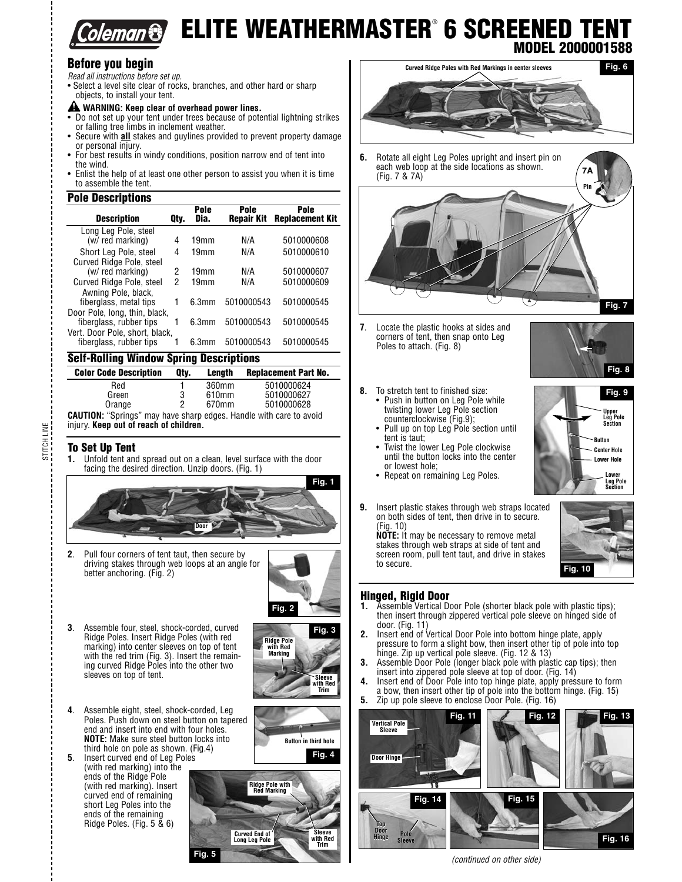

# **ELITE WEATHERMASTER**® **6 SCREENED TENT MODEL 2000001588**

## **Before you begin**

Read all instructions before set up.

- Select a level site clear of rocks, branches, and other hard or sharp objects, to install your tent.
- 
- **WARNING: Keep clear of overhead power lines.** Do not set up your tent under trees because of potential lightning strikes or falling tree limbs in inclement weather.
- Secure with **all** stakes and guylines provided to prevent property damage or personal injury.
- For best results in windy conditions, position narrow end of tent into the wind.
- Enlist the help of at least one other person to assist you when it is time to assemble the tent.

### **Pole Descriptions**

| <b>Description</b>                                        | Qtv. | Pole<br>Dia.     | Pole<br><b>Repair Kit</b> | Pole<br><b>Replacement Kit</b> |
|-----------------------------------------------------------|------|------------------|---------------------------|--------------------------------|
| Long Leg Pole, steel<br>(w/ red marking)                  | 4    | 19mm             | N/A                       | 5010000608                     |
| Short Leg Pole, steel                                     | 4    | 19mm             | N/A                       | 5010000610                     |
| Curved Ridge Pole, steel<br>(w/ red marking)              | 2    | 19mm             | N/A                       | 5010000607                     |
| Curved Ridge Pole, steel<br>Awning Pole, black.           | 2    | 19 <sub>mm</sub> | N/A                       | 5010000609                     |
| fiberglass, metal tips<br>Door Pole, long, thin, black,   | 1    | 6.3mm            | 5010000543                | 5010000545                     |
| fiberglass, rubber tips<br>Vert. Door Pole, short, black, | 1    | 6.3mm            | 5010000543                | 5010000545                     |
| fiberglass, rubber tips                                   |      | 6.3mm            | 5010000543                | 5010000545                     |

### **Self-Rolling Window Spring Descriptions**

| <b>Color Code Description</b>                                     | Qtv. | Lenath | <b>Replacement Part No.</b> |
|-------------------------------------------------------------------|------|--------|-----------------------------|
| Red                                                               |      | 360mm  | 5010000624                  |
| Green                                                             | 3    | 610mm  | 5010000627                  |
| Orange                                                            | っ    | 670mm  | 5010000628                  |
| AIITION: "Carings" may bays charp edges Handle with cars to avoid |      |        |                             |

**CAUTION:** "Springs" may have sharp edges. Handle with care to avoid injury. **Keep out of reach of children.**

## **To Set Up Tent**<br>**1 Unfold tent and**

STITCH LINE

STITCH LINE

**1.** Unfold tent and spread out on a clean, level surface with the door facing the desired direction. Unzip doors. (Fig. 1)



**2**. Pull four corners of tent taut, then secure by driving stakes through web loops at an angle for better anchoring. (Fig. 2)



**3**. Assemble four, steel, shock-corded, curved Ridge Poles. Insert Ridge Poles (with red marking) into center sleeves on top of tent with the red trim (Fig. 3). Insert the remaining curved Ridge Poles into the other two sleeves on top of tent.



**Button in third hole Fig. 4**

- **4**. Assemble eight, steel, shock-corded, Leg Poles. Push down on steel button on tapered end and insert into end with four holes. **NOTE:** Make sure steel button locks into third hole on pole as shown. (Fig.4)
- **5**. Insert curved end of Leg Poles (with red marking) into the ends of the Ridge Pole (with red marking). Insert curved end of remaining short Leg Poles into the ends of the remaining Ridge Poles. (Fig. 5 & 6)





**6.** Rotate all eight Leg Poles upright and insert pin on each web loop at the side locations as shown. (Fig. 7 & 7A)



**7**. Locate the plastic hooks at sides and corners of tent, then snap onto Leg Poles to attach. (Fig. 8)



- **8.** To stretch tent to finished size: • Push in button on Leg Pole while twisting lower Leg Pole section
	- counterclockwise (Fig.9); Pull up on top Leg Pole section until tent is taut;
	- Twist the lower Leg Pole clockwise until the button locks into the center or lowest hole;
	- Repeat on remaining Leg Poles.
- **9.** Insert plastic stakes through web straps located on both sides of tent, then drive in to secure. (Fig. 10)

**NOTE:** It may be necessary to remove metal stakes through web straps at side of tent and screen room, pull tent taut, and drive in stakes to secure. **Fig. 10**



# **Hinged, Rigid Door**

- **1.** Assemble Vertical Door Pole (shorter black pole with plastic tips); then insert through zippered vertical pole sleeve on hinged side of door. (Fig. 11)
- **2.** Insert end of Vertical Door Pole into bottom hinge plate, apply pressure to form a slight bow, then insert other tip of pole into top hinge. Zip up vertical pole sleeve. (Fig. 12 & 13)
- **3.** Assemble Door Pole (longer black pole with plastic cap tips); then insert into zippered pole sleeve at top of door. (Fig. 14)
- **4.** Insert end of Door Pole into top hinge plate, apply pressure to form a bow, then insert other tip of pole into the bottom hinge. (Fig. 15)
- **5.** Zip up pole sleeve to enclose Door Pole. (Fig. 16)



(continued on other side)



**Fig. 9**

**Upper Leg Pole Section**

**Button Center Hole Lower Hole Lower Leg Pole Section**

**7A**